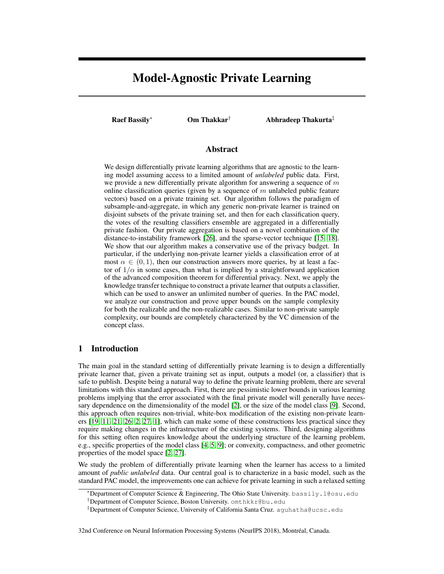# Model-Agnostic Private Learning

Raef Bassily<sup>∗</sup> Om Thakkar† Abhradeep Thakurta‡

## Abstract

We design differentially private learning algorithms that are agnostic to the learning model assuming access to a limited amount of *unlabeled* public data. First, we provide a new differentially private algorithm for answering a sequence of  $m$ online classification queries (given by a sequence of  $m$  unlabeled public feature vectors) based on a private training set. Our algorithm follows the paradigm of subsample-and-aggregate, in which any generic non-private learner is trained on disjoint subsets of the private training set, and then for each classification query, the votes of the resulting classifiers ensemble are aggregated in a differentially private fashion. Our private aggregation is based on a novel combination of the distance-to-instability framework [26], and the sparse-vector technique [15, 18]. We show that our algorithm makes a conservative use of the privacy budget. In particular, if the underlying non-private learner yields a classification error of at most  $\alpha \in (0, 1)$ , then our construction answers more queries, by at least a factor of  $1/\alpha$  in some cases, than what is implied by a straightforward application of the advanced composition theorem for differential privacy. Next, we apply the knowledge transfer technique to construct a private learner that outputs a classifier, which can be used to answer an unlimited number of queries. In the PAC model, we analyze our construction and prove upper bounds on the sample complexity for both the realizable and the non-realizable cases. Similar to non-private sample complexity, our bounds are completely characterized by the VC dimension of the concept class.

# 1 Introduction

The main goal in the standard setting of differentially private learning is to design a differentially private learner that, given a private training set as input, outputs a model (or, a classifier) that is safe to publish. Despite being a natural way to define the private learning problem, there are several limitations with this standard approach. First, there are pessimistic lower bounds in various learning problems implying that the error associated with the final private model will generally have necessary dependence on the dimensionality of the model [2], or the size of the model class [9]. Second, this approach often requires non-trivial, white-box modification of the existing non-private learners [19, 11, 21, 26, 2, 27, 1], which can make some of these constructions less practical since they require making changes in the infrastructure of the existing systems. Third, designing algorithms for this setting often requires knowledge about the underlying structure of the learning problem, e.g., specific properties of the model class [4, 5, 9]; or convexity, compactness, and other geometric properties of the model space [2, 27].

We study the problem of differentially private learning when the learner has access to a limited amount of *public unlabeled* data. Our central goal is to characterize in a basic model, such as the standard PAC model, the improvements one can achieve for private learning in such a relaxed setting

32nd Conference on Neural Information Processing Systems (NeurIPS 2018), Montreal, Canada. ´

<sup>∗</sup>Department of Computer Science & Engineering, The Ohio State University. bassily.1@osu.edu

<sup>†</sup>Department of Computer Science, Boston University. omthkkr@bu.edu

<sup>‡</sup>Department of Computer Science, University of California Santa Cruz. aguhatha@ucsc.edu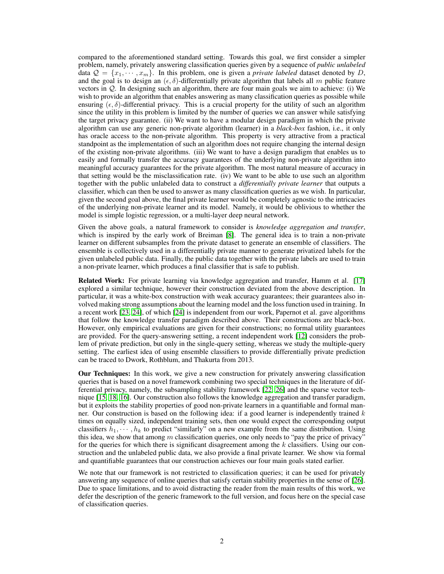compared to the aforementioned standard setting. Towards this goal, we first consider a simpler problem, namely, privately answering classification queries given by a sequence of *public unlabeled* data  $\mathcal{Q} = \{x_1, \dots, x_m\}$ . In this problem, one is given a *private labeled* dataset denoted by D, and the goal is to design an  $(\epsilon, \delta)$ -differentially private algorithm that labels all m public feature vectors in Q. In designing such an algorithm, there are four main goals we aim to achieve: (i) We wish to provide an algorithm that enables answering as many classification queries as possible while ensuring  $(\epsilon, \delta)$ -differential privacy. This is a crucial property for the utility of such an algorithm since the utility in this problem is limited by the number of queries we can answer while satisfying the target privacy guarantee. (ii) We want to have a modular design paradigm in which the private algorithm can use any generic non-private algorithm (learner) in a *black-box* fashion, i.e., it only has oracle access to the non-private algorithm. This property is very attractive from a practical standpoint as the implementation of such an algorithm does not require changing the internal design of the existing non-private algorithms. (iii) We want to have a design paradigm that enables us to easily and formally transfer the accuracy guarantees of the underlying non-private algorithm into meaningful accuracy guarantees for the private algorithm. The most natural measure of accuracy in that setting would be the misclassification rate. (iv) We want to be able to use such an algorithm together with the public unlabeled data to construct a *differentially private learner* that outputs a classifier, which can then be used to answer as many classification queries as we wish. In particular, given the second goal above, the final private learner would be completely agnostic to the intricacies of the underlying non-private learner and its model. Namely, it would be oblivious to whether the model is simple logistic regression, or a multi-layer deep neural network.

Given the above goals, a natural framework to consider is *knowledge aggregation and transfer*, which is inspired by the early work of Breiman [8]. The general idea is to train a non-private learner on different subsamples from the private dataset to generate an ensemble of classifiers. The ensemble is collectively used in a differentially private manner to generate privatized labels for the given unlabeled public data. Finally, the public data together with the private labels are used to train a non-private learner, which produces a final classifier that is safe to publish.

Related Work: For private learning via knowledge aggregation and transfer, Hamm et al. [17] explored a similar technique, however their construction deviated from the above description. In particular, it was a white-box construction with weak accuracy guarantees; their guarantees also involved making strong assumptions about the learning model and the loss function used in training. In a recent work [23, 24], of which [24] is independent from our work, Papernot et al. gave algorithms that follow the knowledge transfer paradigm described above. Their constructions are black-box. However, only empirical evaluations are given for their constructions; no formal utility guarantees are provided. For the query-answering setting, a recent independent work [12] considers the problem of private prediction, but only in the single-query setting, whereas we study the multiple-query setting. The earliest idea of using ensemble classifiers to provide differentially private prediction can be traced to Dwork, Rothblum, and Thakurta from 2013.

Our Techniques: In this work, we give a new construction for privately answering classification queries that is based on a novel framework combining two special techniques in the literature of differential privacy, namely, the subsampling stability framework [22, 26] and the sparse vector technique [15, 18, 16]. Our construction also follows the knowledge aggregation and transfer paradigm, but it exploits the stability properties of good non-private learners in a quantifiable and formal manner. Our construction is based on the following idea: if a good learner is independently trained  $k$ times on equally sized, independent training sets, then one would expect the corresponding output classifiers  $h_1, \dots, h_k$  to predict "similarly" on a new example from the same distribution. Using this idea, we show that among m classification queries, one only needs to "pay the price of privacy" for the queries for which there is significant disagreement among the  $k$  classifiers. Using our construction and the unlabeled public data, we also provide a final private learner. We show via formal and quantifiable guarantees that our construction achieves our four main goals stated earlier.

We note that our framework is not restricted to classification queries; it can be used for privately answering any sequence of online queries that satisfy certain stability properties in the sense of [26]. Due to space limitations, and to avoid distracting the reader from the main results of this work, we defer the description of the generic framework to the full version, and focus here on the special case of classification queries.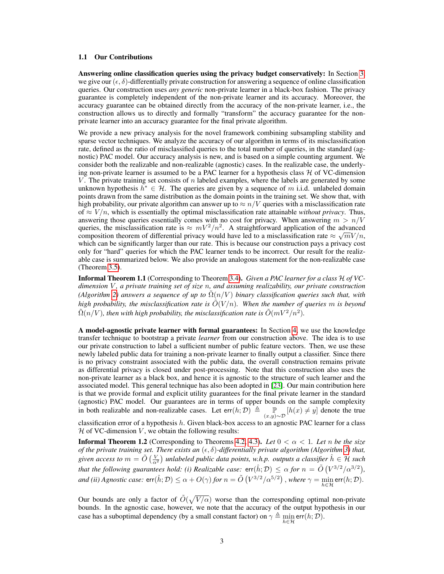#### 1.1 Our Contributions

Answering online classification queries using the privacy budget conservatively: In Section 3, we give our  $(\epsilon, \delta)$ -differentially private construction for answering a sequence of online classification queries. Our construction uses *any generic* non-private learner in a black-box fashion. The privacy guarantee is completely independent of the non-private learner and its accuracy. Moreover, the accuracy guarantee can be obtained directly from the accuracy of the non-private learner, i.e., the construction allows us to directly and formally "transform" the accuracy guarantee for the nonprivate learner into an accuracy guarantee for the final private algorithm.

We provide a new privacy analysis for the novel framework combining subsampling stability and sparse vector techniques. We analyze the accuracy of our algorithm in terms of its misclassification rate, defined as the ratio of misclassified queries to the total number of queries, in the standard (agnostic) PAC model. Our accuracy analysis is new, and is based on a simple counting argument. We consider both the realizable and non-realizable (agnostic) cases. In the realizable case, the underlying non-private learner is assumed to be a PAC learner for a hypothesis class  $H$  of VC-dimension V. The private training set consists of  $n$  labeled examples, where the labels are generated by some unknown hypothesis  $h^* \in \mathcal{H}$ . The queries are given by a sequence of m i.i.d. unlabeled domain points drawn from the same distribution as the domain points in the training set. We show that, with high probability, our private algorithm can answer up to  $\approx n/V$  queries with a misclassification rate of  $\approx V/n$ , which is essentially the optimal misclassification rate attainable *without privacy*. Thus, answering those queries essentially comes with no cost for privacy. When answering  $m > n/V$ queries, the misclassification rate is  $\approx mV^2/n^2$ . A straightforward application of the advanced composition theorem of differential privacy would have led to a misclassification rate  $\approx \sqrt{mV/n}$ , which can be significantly larger than our rate. This is because our construction pays a privacy cost only for "hard" queries for which the PAC learner tends to be incorrect. Our result for the realizable case is summarized below. We also provide an analogous statement for the non-realizable case (Theorem 3.5).

Informal Theorem 1.1 (Corresponding to Theorem 3.4). *Given a PAC learner for a class* H *of VCdimension* V *, a private training set of size* n*, and assuming realizability, our private construction (Algorithm 2)* answers a sequence of up to  $\overline{\Omega}(n/V)$  binary classification queries such that, with *high probability, the misclassification rate is*  $\tilde{O}(V/n)$ *. When the number of queries* m *is beyond*  $\tilde{\Omega}(n/V)$ , then with high probability, the misclassification rate is  $\tilde{O}(mV^2/n^2)$ .

A model-agnostic private learner with formal guarantees: In Section 4, we use the knowledge transfer technique to bootstrap a private *learner* from our construction above. The idea is to use our private construction to label a sufficient number of public feature vectors. Then, we use these newly labeled public data for training a non-private learner to finally output a classifier. Since there is no privacy constraint associated with the public data, the overall construction remains private as differential privacy is closed under post-processing. Note that this construction also uses the non-private learner as a black box, and hence it is agnostic to the structure of such learner and the associated model. This general technique has also been adopted in [23]. Our main contribution here is that we provide formal and explicit utility guarantees for the final private learner in the standard (agnostic) PAC model. Our guarantees are in terms of upper bounds on the sample complexity in both realizable and non-realizable cases. Let  $err(h; \mathcal{D}) \triangleq \mathbb{P}_{(x,y)\sim\mathcal{D}}[h(x) \neq y]$  denote the true

classification error of a hypothesis  $h$ . Given black-box access to an agnostic PAC learner for a class  $H$  of VC-dimension  $V$ , we obtain the following results:

**Informal Theorem 1.2** (Corresponding to Theorems 4.2, 4.3). Let  $0 < \alpha < 1$ . Let n be the size *of the private training set. There exists an*  $(\epsilon, \delta)$ -differentially private algorithm (Algorithm 3) that, given access to  $m = \tilde{O}\left(\frac{V}{\alpha^2}\right)$  unlabeled public data points, w.h.p. outputs a classifier  $\hat{h} \in \mathcal{H}$  such *that the following guarantees hold: (i) Realizable case:*  $\text{err}(\hat{h}; \mathcal{D}) \leq \alpha$  *for*  $n = \tilde{O}(V^{3/2}/\alpha^{3/2})$ , *and (ii) Agnostic case:*  $\mathsf{err}(\hat{h}; \mathcal{D}) \leq \alpha + O(\gamma)$  *for*  $n = \tilde{O}\left(V^{3/2}/\alpha^{5/2}\right)$  , where  $\gamma = \min_{h \in \mathcal{H}} \mathsf{err}(h; \mathcal{D})$ .

Our bounds are only a factor of  $\tilde{O}(\sqrt{V/\alpha})$  worse than the corresponding optimal non-private bounds. In the agnostic case, however, we note that the accuracy of the output hypothesis in our case has a suboptimal dependency (by a small constant factor) on  $\gamma \triangleq \min_{h \in \mathcal{H}} \text{err}(h; \mathcal{D})$ .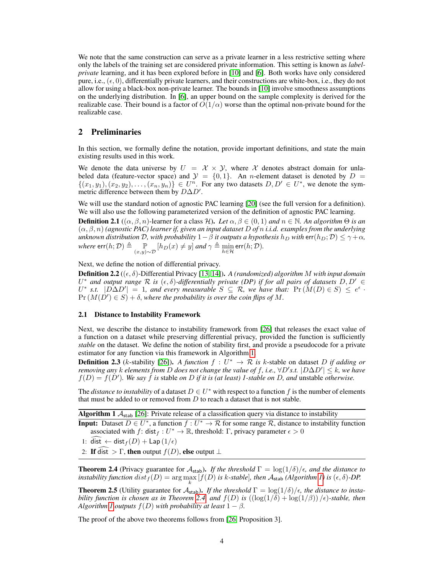We note that the same construction can serve as a private learner in a less restrictive setting where only the labels of the training set are considered private information. This setting is known as *labelprivate* learning, and it has been explored before in [10] and [6]. Both works have only considered pure, i.e.,  $(\epsilon, 0)$ , differentially private learners, and their constructions are white-box, i.e., they do not allow for using a black-box non-private learner. The bounds in [10] involve smoothness assumptions on the underlying distribution. In [6], an upper bound on the sample complexity is derived for the realizable case. Their bound is a factor of  $O(1/\alpha)$  worse than the optimal non-private bound for the realizable case.

### 2 Preliminaries

In this section, we formally define the notation, provide important definitions, and state the main existing results used in this work.

We denote the data universe by  $U = \mathcal{X} \times \mathcal{Y}$ , where  $\mathcal{X}$  denotes abstract domain for unlabeled data (feature-vector space) and  $\mathcal{Y} = \{0, 1\}$ . An *n*-element dataset is denoted by  $D =$  $\{(x_1,y_1),(x_2,y_2),\ldots,(x_n,y_n)\}\in U^n$ . For any two datasets  $D, D' \in U^*$ , we denote the symmetric difference between them by  $D\Delta D'$ .

We will use the standard notion of agnostic PAC learning [20] (see the full version for a definition). We will also use the following parameterized version of the definition of agnostic PAC learning.

**Definition 2.1**  $((\alpha, \beta, n)]$ -learner for a class  $\mathcal{H}$ ). Let  $\alpha, \beta \in (0, 1)$  and  $n \in \mathbb{N}$ . An algorithm  $\Theta$  is an (α, β, n) *(agnostic PAC) learner if, given an input dataset* D *of* n *i.i.d. examples from the underlying unknown distribution*  $D$ *, with probability*  $1 - \beta$  *it outputs a hypothesis*  $h_D$  *with* err $(h_D; D) \leq \gamma + \alpha$ *, where*  $\textsf{err}(h; \mathcal{D}) \triangleq \mathop{\mathbb{P}}_{(x,y)\sim\mathcal{D}}[h_D(x) \neq y]$  *and*  $\gamma \triangleq \min_{h \in \mathcal{H}} \textsf{err}(h; \mathcal{D})$ *.* 

Next, we define the notion of differential privacy.

Definition 2.2 ((, δ)-Differential Privacy [13, 14]). *A (randomized) algorithm* M *with input domain*  $U^*$  and output range  $\mathcal R$  is  $(\epsilon, \delta)$ -differentially private (DP) if for all pairs of datasets  $D, D' \in$  $U^*$  s.t.  $|D\Delta D'| = 1$ , and every measurable  $S \subseteq \mathcal{R}$ , we have that:  $Pr(M(D) \in S) \leq e^{\epsilon}$ .  $Pr(M(D') \in S) + \delta$ , where the probability is over the coin flips of M.

#### 2.1 Distance to Instability Framework

Next, we describe the distance to instability framework from [26] that releases the exact value of a function on a dataset while preserving differential privacy, provided the function is sufficiently *stable* on the dataset. We define the notion of stability first, and provide a pseudocode for a private estimator for any function via this framework in Algorithm 1.

**Definition 2.3** (k-stability [26]). A function  $f: U^* \to \mathcal{R}$  is k-stable on dataset D if adding or *removing any* k *elements from* D does not change the value of f, i.e.,  $\forall D's.t.$   $|D\Delta D'| \leq k$ , we have  $f(D) = f(D')$ . We say f is stable on D if it is (at least) 1-stable on D, and unstable otherwise.

The *distance to instability* of a dataset  $D \in U^*$  with respect to a function f is the number of elements that must be added to or removed from  $D$  to reach a dataset that is not stable.

Algorithm 1  $A_{stab}$  [26]: Private release of a classification query via distance to instability

**Input:** Dataset  $D \in U^*$ , a function  $f: U^* \to \mathcal{R}$  for some range  $\mathcal{R}$ , distance to instability function associated with f: dist<sub>f</sub> :  $U^* \to \mathbb{R}$ , threshold: Γ, privacy parameter  $\epsilon > 0$ 

1: dist ← dist  $_f(D)$  + Lap (1/ $_f$ )

2: If dist  $> \Gamma$ , then output  $f(D)$ , else output  $\bot$ 

**Theorem 2.4** (Privacy guarantee for  $A_{stab}$ ). *If the threshold*  $\Gamma = \log(1/\delta)/\epsilon$ , and the distance to *instability function*  $dist_f(D) = \arg\max_k [f(D) \text{ is } k\text{-stable}]$ , then  $\mathcal{A}_{\text{stab}}$  (Algorithm 1) is  $(\epsilon, \delta)$ -DP.

**Theorem 2.5** (Utility guarantee for  $\mathcal{A}_{stab}$ ). If the threshold  $\Gamma = \log(1/\delta)/\epsilon$ , the distance to insta*bility function is chosen as in Theorem 2.4, and*  $f(D)$  *is*  $((\log(1/\delta) + \log(1/\beta)) / \epsilon)$ -stable, then *Algorithm 1 outputs*  $f(D)$  *with probability at least*  $1 - \beta$ *.* 

The proof of the above two theorems follows from [26, Proposition 3].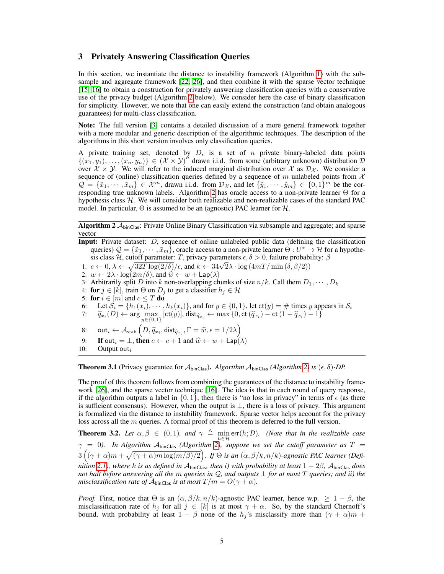#### 3 Privately Answering Classification Queries

In this section, we instantiate the distance to instability framework (Algorithm 1) with the subsample and aggregate framework [22, 26], and then combine it with the sparse vector technique [15, 16] to obtain a construction for privately answering classification queries with a conservative use of the privacy budget (Algorithm 2 below). We consider here the case of binary classification for simplicity. However, we note that one can easily extend the construction (and obtain analogous guarantees) for multi-class classification.

Note: The full version [3] contains a detailed discussion of a more general framework together with a more modular and generic description of the algorithmic techniques. The description of the algorithms in this short version involves only classification queries.

A private training set, denoted by  $D$ , is a set of n private binary-labeled data points  $\{(x_1,y_1),\ldots,(x_n,y_n)\}\in (\mathcal{X}\times\mathcal{Y})^n$  drawn i.i.d. from some (arbitrary unknown) distribution  $\mathcal D$ over  $X \times Y$ . We will refer to the induced marginal distribution over X as  $\mathcal{D}_{\mathcal{X}}$ . We consider a sequence of (online) classification queries defined by a sequence of m unlabeled points from  $\mathcal X$  $\mathcal{Q} = \{\tilde{x}_1, \dots, \tilde{x}_m\} \in \mathcal{X}^m$ , drawn i.i.d. from  $\mathcal{D}_{\mathcal{X}}$ , and let  $\{\tilde{y}_1, \dots, \tilde{y}_m\} \in \{0, 1\}^m$  be the corresponding true unknown labels. Algorithm 2 has oracle access to a non-private learner Θ for a hypothesis class  $H$ . We will consider both realizable and non-realizable cases of the standard PAC model. In particular,  $\Theta$  is assumed to be an (agnostic) PAC learner for  $\mathcal{H}$ .

**Algorithm 2**  $A_{\text{binClass}}$ : Private Online Binary Classification via subsample and aggregate; and sparse vector

Input: Private dataset: *D*, sequence of online unlabeled public data (defining the classification queries)  $\mathcal{Q} = \{\tilde{x}_1, \cdots, \tilde{x}_m\}$ , oracle access to a non-private learner  $\Theta: U^* \to \mathcal{H}$  for a hypothesis class H, cutoff parameter: T, privacy parameters  $\epsilon, \delta > 0$ , failure probability:  $\beta$ sis class *H*, cutoff parameter: *I*, privacy parameters  $\epsilon, \delta > 0$ , failure probability  $c \leftarrow 0, \lambda \leftarrow \sqrt{32T \log(2/\delta)} / \epsilon$ , and  $k \leftarrow 34\sqrt{2}\lambda \cdot \log(4mT/\min(\delta, \beta/2))$ 2:  $w \leftarrow 2\lambda \cdot \log(2m/\delta)$ , and  $\hat{w} \leftarrow w + \textsf{Lap}(\lambda)$ 3: Arbitrarily split D into k non-overlapping chunks of size  $n/k$ . Call them  $D_1, \dots, D_k$ 4: for  $j \in [k]$ , train  $\Theta$  on  $D_j$  to get a classifier  $h_j \in \mathcal{H}$ 5: for  $i \in [m]$  and  $c \leq T$  do 6: Let  $S_i = \{h_1(x_i), \dots, h_k(x_i)\}\$ , and for  $y \in \{0, 1\}$ , let  $\text{ct}(y) = \text{\# times } y$  appears in  $S_i$  $\widehat{q}_{x_i}(D) \leftarrow \arg\max_{y \in \{0,1\}}\left[\mathsf{ct}(y)\right]$ , dist $_{\widehat{q}_{x_i}} \leftarrow \max\left\{0, \mathsf{ct}\left(\widehat{q}_{x_i}\right) - \mathsf{ct}\left(1 - \widehat{q}_{x_i}\right) - 1\right\}$ 8:  $\cot_i \leftarrow \mathcal{A}_{\text{stab}}\left(D, \widehat{q}_{x_i}, \text{dist}_{\widehat{q}_{x_i}}, \Gamma = \widehat{w}, \epsilon = 1/2\lambda\right)$ 9: If out<sub>i</sub> =  $\perp$ , then  $c \leftarrow c + 1$  and  $\hat{w} \leftarrow w + \text{Lap}(\lambda)$ <br>10: Output out<sub>i</sub> Output out $_i$ 

**Theorem 3.1** (Privacy guarantee for  $\mathcal{A}_{\text{binClass}}$ ). *Algorithm*  $\mathcal{A}_{\text{binClass}}$  *(Algorithm 2) is* ( $\epsilon$ ,  $\delta$ )-DP.

The proof of this theorem follows from combining the guarantees of the distance to instability framework [26], and the sparse vector technique [16]. The idea is that in each round of query response, if the algorithm outputs a label in  $\{0, 1\}$ , then there is "no loss in privacy" in terms of  $\epsilon$  (as there is sufficient consensus). However, when the output is  $\perp$ , there is a loss of privacy. This argument is formalized via the distance to instability framework. Sparse vector helps account for the privacy loss across all the m queries. A formal proof of this theorem is deferred to the full version.

**Theorem 3.2.** Let  $\alpha, \beta \in (0, 1)$ , and  $\gamma \triangleq \min_{h \in \mathcal{H}} \text{err}(h; \mathcal{D})$ . (Note that in the realizable case  $\gamma$  = 0). In Algorithm  $\mathcal{A}_{\text{binClass}}$  (Algorithm 2), suppose we set the cutoff parameter as  $T$  =  $3\left((\gamma+\alpha)m+\sqrt{(\gamma+\alpha)m\log(m/\beta)/2}\right)$ . If  $\Theta$  is an  $(\alpha,\beta/k,n/k)$ -agnostic PAC learner (Defi*nition 2.1), where* k *is as defined in* AbinClas*, then i) with probability at least* 1 − 2β*,* AbinClas *does not halt before answering all the* m *queries in* Q*, and outputs* ⊥ *for at most* T *queries; and ii) the misclassification rate of*  $\mathcal{A}_{\text{binClass}}$  *is at most*  $T/m = O(\gamma + \alpha)$ *.* 

*Proof.* First, notice that  $\Theta$  is an  $(\alpha, \beta/k, n/k)$ -agnostic PAC learner, hence w.p.  $\geq 1 - \beta$ , the misclassification rate of  $h_j$  for all  $j \in [k]$  is at most  $\gamma + \alpha$ . So, by the standard Chernoff's bound, with probability at least  $1 - \beta$  none of the  $h_j$ 's misclassify more than  $(\gamma + \alpha)m$  +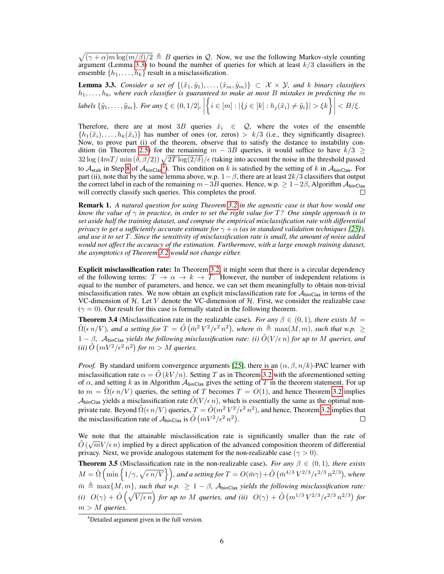$\sqrt{(\gamma + \alpha)m \log(m/\beta)/2} \triangleq B$  queries in Q. Now, we use the following Markov-style counting argument (Lemma 3.3) to bound the number of queries for which at least  $k/3$  classifiers in the ensemble  $\{h_1, \ldots, h_k\}$  result in a misclassification.

**Lemma 3.3.** *Consider a set of*  $\{(\tilde{x}_1, \tilde{y}_1), \ldots, (\tilde{x}_m, \tilde{y}_m)\} \subset \mathcal{X} \times \mathcal{Y}$ , and k binary classifiers  $h_1, \ldots, h_k$ , where each classifier is guaranteed to make at most B mistakes in predicting the  $m$ *labels*  $\{\tilde{y}_1, \ldots, \tilde{y}_m\}$ *. For any*  $\xi \in (0, 1/2]$ ,  $\left\{ i \in [m] : |\{ j \in [k] : h_j(\tilde{x}_i) \neq \tilde{y}_i \}| > \xi k \right\}$  $\langle B/\xi$ .

Therefore, there are at most 3B queries  $\tilde{x}_i \in \mathcal{Q}$ , where the votes of the ensemble  $\{h_1(\tilde{x}_i), \ldots, h_k(\tilde{x}_i)\}\$  has number of ones (or, zeros) >  $k/3$  (i.e., they significantly disagree). Now, to prove part (i) of the theorem, observe that to satisfy the distance to instability condition (in Theorem 2.5) for the remaining  $m - 3B$  queries, it would suffice to have  $k/3 \ge$  $32 \log (4mT/\min(\delta, \beta/2)) \sqrt{2T \log(2/\delta)}/\epsilon$  (taking into account the noise in the threshold passed to  $A_{stab}$  in Step 8 of  $A_{binClass}$ <sup>4</sup>). This condition on k is satisfied by the setting of k in  $A_{binClass}$ . For part (ii), note that by the same lemma above, w.p.  $1-\beta$ , there are at least  $2k/3$  classifiers that output the correct label in each of the remaining  $m-3B$  queries. Hence, w.p.  $\geq 1-2\beta$ , Algorithm  $\mathcal{A}_{\text{binClass}}$ will correctly classify such queries. This completes the proof.

Remark 1. *A natural question for using Theorem 3.2 in the agnostic case is that how would one know the value of* γ *in practice, in order to set the right value for* T*? One simple approach is to set aside half the training dataset, and compute the empirical misclassification rate with differential privacy to get a sufficiently accurate estimate for*  $\gamma + \alpha$  *(as in standard validation techniques [25]), and use it to set* T*. Since the sensitivity of misclassification rate is small, the amount of noise added would not affect the accuracy of the estimation. Furthermore, with a large enough training dataset, the asymptotics of Theorem 3.2 would not change either.*

Explicit misclassification rate: In Theorem 3.2, it might seem that there is a circular dependency of the following terms:  $T \to \alpha \to k \to T$ . However, the number of independent relations is equal to the number of parameters, and hence, we can set them meaningfully to obtain non-trivial misclassification rates. We now obtain an explicit misclassification rate for  $A_{\text{binClass}}$  in terms of the VC-dimension of  $H$ . Let V denote the VC-dimension of  $H$ . First, we consider the realizable case  $(\gamma = 0)$ . Our result for this case is formally stated in the following theorem.

**Theorem 3.4** (Misclassification rate in the realizable case). *For any*  $\beta \in (0,1)$ *, there exists*  $M =$  $\tilde{\Omega}(\epsilon n/V)$ , and a setting for  $T = \tilde{O}(\bar{m}^2 V^2/\epsilon^2 n^2)$ , where  $\bar{m} \triangleq \max(M, m)$ , such that w.p.  $\geq$  $1 - \beta$ ,  $\mathcal{A}_{\text{binClass}}$  *yields the following misclassification rate: (i)*  $\tilde{O}(V/\epsilon n)$  *for up to* M *queries, and* (*ii*)  $\tilde{O}(mV^2/\epsilon^2 n^2)$  for  $m > M$  queries.

*Proof.* By standard uniform convergence arguments [25], there is an  $(\alpha, \beta, n/k)$ -PAC learner with misclassification rate  $\alpha = \hat{O}(kV/n)$ . Setting T as in Theorem 3.2 with the aforementioned setting of  $\alpha$ , and setting k as in Algorithm  $\mathcal{A}_{\text{binClass}}$  gives the setting of T in the theorem statement. For up to  $m = \tilde{\Omega}(\epsilon n/V)$  queries, the setting of T becomes  $T = O(1)$ , and hence Theorem 3.2 implies  $\mathcal{A}_{\text{binClass}}$  yields a misclassification rate  $\tilde{O}(V/\epsilon n)$ , which is essentially the same as the optimal nonprivate rate. Beyond  $\tilde{\Omega}(\epsilon n/V)$  queries,  $T = \tilde{O}(m^2 V^2/\epsilon^2 n^2)$ , and hence, Theorem 3.2 implies that the misclassification rate of  $\mathcal{A}_{\text{binClass}}$  is  $\tilde{O}(mV^2/\epsilon^2 n^2)$ .  $\Box$ 

We note that the attainable misclassification rate is significantly smaller than the rate of  $\tilde{\phi}$  ( $\overline{C}V$ ) is the linear than the rate of  $\tilde{\phi}$  $\tilde{O}(\sqrt{m}V/\epsilon n)$  implied by a direct application of the advanced composition theorem of differential privacy. Next, we provide analogous statement for the non-realizable case ( $\gamma > 0$ ).

**Theorem 3.5** (Misclassification rate in the non-realizable case). *For any*  $\beta \in (0,1)$ *, there exists*  $M = \tilde{\Omega} \left( \min \left\{ 1/\gamma, \sqrt{\epsilon n/V} \right\} \right)$ , and a setting for  $T = O(\bar{m}\gamma) + \tilde{O} \left( \bar{m}^{4/3} V^{2/3}/\epsilon^{2/3} n^{2/3} \right)$ , where  $m \triangleq \max\{M, m\}$ , *such that w.p.*  $\geq 1 - \beta$ ,  $\mathcal{A}_{\text{binClass}}$  *yields the following misclassification rate:* (*i*)  $O(\gamma) + \tilde{O}(\sqrt{V/\epsilon n})$  for up to M queries, and (*ii*)  $O(\gamma) + \tilde{O}(m^{1/3} V^{2/3}/\epsilon^{2/3} n^{2/3})$  for m > M *queries.*

<sup>4</sup>Detailed argument given in the full version.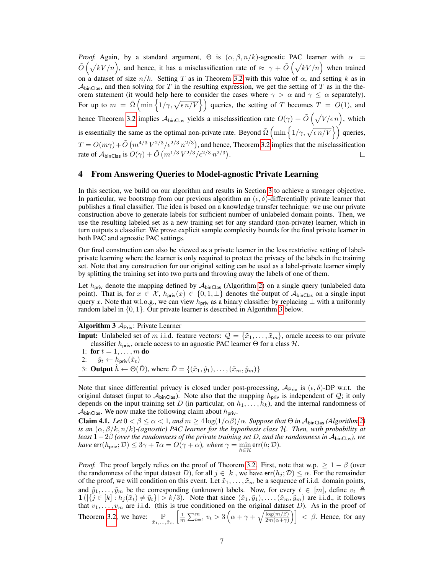*Proof.* Again, by a standard argument,  $\Theta$  is  $(\alpha, \beta, n/k)$ -agnostic PAC learner with  $\alpha$  $\tilde{O}(\sqrt{kV/n})$ , and hence, it has a misclassification rate of  $\approx \gamma + \tilde{O}(\sqrt{kV/n})$  when trained on a dataset of size  $n/k$ . Setting T as in Theorem 3.2 with this value of  $\alpha$ , and setting k as in  $A<sub>binClass</sub>$ , and then solving for T in the resulting expression, we get the setting of T as in the theorem statement (it would help here to consider the cases where  $\gamma > \alpha$  and  $\gamma \leq \alpha$  separately). For up to  $m = \tilde{\Omega} \left( \min \left\{ 1/\gamma, \sqrt{\epsilon n/V} \right\} \right)$  queries, the setting of T becomes  $T = O(1)$ , and hence Theorem 3.2 implies  $A_{\text{binClass}}$  yields a misclassification rate  $O(\gamma) + \tilde{O}(\sqrt{V/\epsilon n})$ , which is essentially the same as the optimal non-private rate. Beyond  $\tilde{\Omega}$   $\left(\min\left\{1/\gamma,\sqrt{\epsilon n/V}\right\}\right)$  queries,  $T = O(m\gamma) + \tilde{O}(m^{4/3} V^{2/3} / \epsilon^{2/3} n^{2/3})$ , and hence, Theorem 3.2 implies that the misclassification rate of  $\mathcal{A}_{\text{binClass}}$  is  $O(\gamma) + \tilde{O}(m^{1/3} V^{2/3}/\epsilon^{2/3} n^{2/3}).$  $\Box$ 

### 4 From Answering Queries to Model-agnostic Private Learning

In this section, we build on our algorithm and results in Section 3 to achieve a stronger objective. In particular, we bootstrap from our previous algorithm an  $(\epsilon, \delta)$ -differentially private learner that publishes a final classifier. The idea is based on a knowledge transfer technique: we use our private construction above to generate labels for sufficient number of unlabeled domain points. Then, we use the resulting labeled set as a new training set for any standard (non-private) learner, which in turn outputs a classifier. We prove explicit sample complexity bounds for the final private learner in both PAC and agnostic PAC settings.

Our final construction can also be viewed as a private learner in the less restrictive setting of labelprivate learning where the learner is only required to protect the privacy of the labels in the training set. Note that any construction for our original setting can be used as a label-private learner simply by splitting the training set into two parts and throwing away the labels of one of them.

Let  $h_{\text{priv}}$  denote the mapping defined by  $A_{\text{binClass}}$  (Algorithm 2) on a single query (unlabeled data point). That is, for  $x \in \mathcal{X}$ ,  $h_{\text{priv}}(x) \in \{0,1,\perp\}$  denotes the output of  $\mathcal{A}_{\text{binClass}}$  on a single input query x. Note that w.l.o.g., we can view  $h_{\text{priv}}$  as a binary classifier by replacing  $\perp$  with a uniformly random label in {0, 1}. Our private learner is described in Algorithm 3 below.

#### Algorithm  $3 \mathcal{A}_{\text{Priv}}$ : Private Learner

**Input:** Unlabeled set of m i.i.d. feature vectors:  $\mathcal{Q} = {\tilde{x}_1, \ldots, \tilde{x}_m}$ , oracle access to our private classifier  $h_{\text{priv}}$ , oracle access to an agnostic PAC learner  $\Theta$  for a class  $\mathcal{H}$ .

- 1: for  $t = 1, ..., m$  do
- 2:  $\hat{y}_t \leftarrow h_{\text{priv}}(\tilde{x}_t)$
- 3: **Output**  $\hat{h} \leftarrow \Theta(\tilde{D})$ , where  $\tilde{D} = \{(\tilde{x}_1, \hat{y}_1), \dots, (\tilde{x}_m, \hat{y}_m)\}$

Note that since differential privacy is closed under post-processing,  $A_{Priv}$  is  $(\epsilon, \delta)$ -DP w.r.t. the original dataset (input to  $A_{\text{binClass}}$ ). Note also that the mapping  $h_{\text{priv}}$  is independent of  $\mathcal{Q}$ ; it only depends on the input training set D (in particular, on  $h_1, \ldots, h_k$ ), and the internal randomness of  $\mathcal{A}_{\text{binClass}}$ . We now make the following claim about  $h_{\text{priv}}$ .

Claim 4.1. *Let*  $0 < \beta \le \alpha < 1$ , and  $m \ge 4 \log(1/\alpha \beta)/\alpha$ . Suppose that  $\Theta$  in  $\mathcal{A}_{\text{binClass}}$  (Algorithm 2) *is an* (α, β/k, n/k)*-(agnostic) PAC learner for the hypothesis class* H*. Then, with probability at least* 1−2β *(over the randomness of the private training set* D*, and the randomness in* AbinClas*), we have*  $\mathsf{err}(h_{\mathsf{priv}}; \mathcal{D}) \leq 3\gamma + 7\alpha = O(\gamma + \alpha)$ *, where*  $\gamma = \min_{h \in \mathcal{H}} \mathsf{err}(h; \mathcal{D})$ *.* 

*Proof.* The proof largely relies on the proof of Theorem 3.2. First, note that w.p.  $\geq 1 - \beta$  (over the randomness of the input dataset D), for all  $j \in [k]$ , we have  $err(h_j; \mathcal{D}) \leq \alpha$ . For the remainder of the proof, we will condition on this event. Let  $\tilde{x}_1, \ldots, \tilde{x}_m$  be a sequence of i.i.d. domain points, and  $\tilde{y}_1, \ldots, \tilde{y}_m$  be the corresponding (unknown) labels. Now, for every  $t \in [m]$ , define  $v_t \triangleq$  $1(|\{j \in [k] : h_j(\tilde{x}_t) \neq \tilde{y}_t\}| > k/3)$ . Note that since  $(\tilde{x}_1, \tilde{y}_1), \ldots,(\tilde{x}_m, \tilde{y}_m)$  are i.i.d., it follows that  $v_1, \ldots, v_m$  are i.i.d. (this is true conditioned on the original dataset D). As in the proof of Theorem 3.2, we have:  $\mathbb{P}_{\tilde{x}_1,...,\tilde{x}_m}$  $\left[\frac{1}{m}\sum_{t=1}^m v_t > 3\left(\alpha + \gamma + \sqrt{\frac{\log(m/\beta)}{2m(\alpha+\gamma)}}\right)\right] < \beta$ . Hence, for any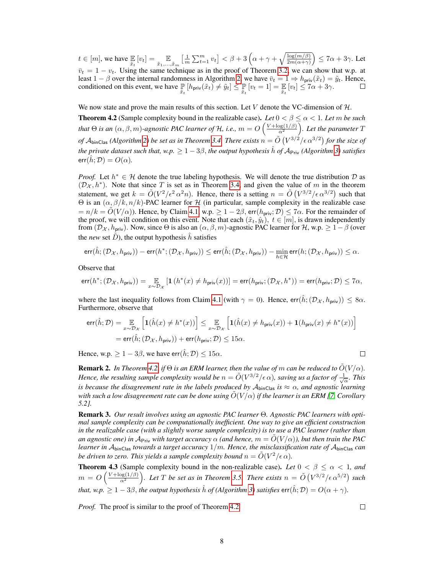$t \in [m]$ , we have  $\mathbb{E}_{\bar{x}_t}[v_t] = \mathbb{E}_{\bar{x}_1,\dots,\bar{x}_m} \left[ \frac{1}{m} \sum_{t=1}^m v_t \right] < \beta + 3 \left( \alpha + \gamma + \sqrt{\frac{\log(m/\beta)}{2m(\alpha+\gamma)}} \right) \leq 7\alpha + 3\gamma$ . Let  $\bar{v}_t = 1 - v_t$ . Using the same technique as in the proof of Theorem 3.2, we can show that w.p. at least  $1 - \beta$  over the internal randomness in Algorithm 2, we have  $\bar{v}_t = 1 \Rightarrow h_{\text{priv}}(\tilde{x}_t) = \tilde{y}_t$ . Hence, conditioned on this event, we have  $\mathbb{P}_{\tilde{x}_t}[h_{\text{priv}}(\tilde{x}_t) \neq \tilde{y}_t] \leq \mathbb{P}_{\tilde{x}_t}[v_t = 1] = \mathbb{E}_{\tilde{x}_t}[v_t] \leq 7\alpha + 3\gamma$ .

We now state and prove the main results of this section. Let  $V$  denote the VC-dimension of  $H$ . **Theorem 4.2** (Sample complexity bound in the realizable case). Let  $0 < \beta \leq \alpha < 1$ . Let m be such that  $\Theta$  is an  $(\alpha,\beta,m)$ -agnostic PAC learner of H, i.e.,  $m=O\left(\frac{V+\log(1/\beta)}{\alpha^2}\right)$ . Let the parameter  $T$ of  ${\cal A}_{\rm binClas}$  (Algorithm 2) be set as in Theorem 3.4. There exists  $n = \tilde{O}\left(V^{3/2}/\epsilon\, \alpha^{3/2}\right)$  for the size of *the private dataset such that, w.p.*  $\geq 1-3\beta$ , *the output hypothesis*  $\hat{h}$  *of*  $A_{\text{Priv}}$  (Algorithm 3) satisfies  $err(h; \mathcal{D}) = O(\alpha)$ .

*Proof.* Let  $h^* \in H$  denote the true labeling hypothesis. We will denote the true distribution  $D$  as  $(\mathcal{D}_X, h^*)$ . Note that since T is set as in Theorem 3.4, and given the value of m in the theorem statement, we get  $k = \tilde{O}(V^2/\epsilon^2 \alpha^2 n)$ . Hence, there is a setting  $n = \tilde{O}(V^{3/2}/\epsilon \alpha^{3/2})$  such that  $\Theta$  is an  $(α, β/k, n/k)$ -PAC learner for H (in particular, sample complexity in the realizable case  $n = n/k = \tilde{O}(V/\alpha)$ ). Hence, by Claim 4.1, w.p.  $\geq 1-2\beta$ , err $(h_{\text{priv}}; \mathcal{D}) \leq 7\alpha$ . For the remainder of the proof, we will condition on this event. Note that each  $(\tilde{x}_t, \hat{y}_t)$ ,  $t \in [m]$ , is drawn independently from  $(\mathcal{D}_{\mathcal{X}}, h_{\text{priv}})$ . Now, since  $\Theta$  is also an  $(\alpha, \beta, m)$ -agnostic PAC learner for  $\mathcal{H}$ , w.p.  $\geq 1-\beta$  (over the *new* set D), the output hypothesis  $\hat{h}$  satisfies

$$
\mathrm{err}(\hat{h}; (\mathcal{D}_\mathcal{X}, h_{\mathrm{priv}})) - \mathrm{err}(h^*; (\mathcal{D}_\mathcal{X}, h_{\mathrm{priv}})) \leq \mathrm{err}(\hat{h}; (\mathcal{D}_\mathcal{X}, h_{\mathrm{priv}})) - \min_{h \in \mathcal{H}} \mathrm{err}(h; (\mathcal{D}_\mathcal{X}, h_{\mathrm{priv}})) \leq \alpha.
$$

Observe that

$$
\text{err}(h^*; (\mathcal{D}_\mathcal{X}, h_{\text{priv}})) = \underset{x \sim \mathcal{D}_\mathcal{X}}{\mathbb{E}}\left[\mathbf{1}\left(h^*(x) \neq h_{\text{priv}}(x)\right)\right] = \text{err}(h_{\text{priv}}; (\mathcal{D}_\mathcal{X}, h^*)) = \text{err}(h_{\text{priv}}; \mathcal{D}) \leq 7\alpha,
$$

where the last inequality follows from Claim 4.1 (with  $\gamma = 0$ ). Hence, err $(\hat{h}; ({\cal D}_{\cal X}, h_{\text{priv}})) < 8\alpha$ . Furthermore, observe that

$$
err(\hat{h}; \mathcal{D}) = \mathop{\mathbb{E}}_{x \sim \mathcal{D}_{\mathcal{X}}} \left[ \mathbf{1}(\hat{h}(x) \neq h^*(x)) \right] \leq \mathop{\mathbb{E}}_{x \sim \mathcal{D}_{\mathcal{X}}} \left[ \mathbf{1}(\hat{h}(x) \neq h_{\text{priv}}(x)) + \mathbf{1}(h_{\text{priv}}(x) \neq h^*(x)) \right]
$$
  
= err(\hat{h}; (\mathcal{D}\_{\mathcal{X}}, h\_{\text{priv}})) + err(h\_{\text{priv}}; \mathcal{D}) \leq 15\alpha.

Hence, w.p.  $> 1 - 3\beta$ , we have err $(\hat{h}; \mathcal{D}) \le 15\alpha$ .

**Remark 2.** In Theorem 4.2, if  $\Theta$  is an ERM learner, then the value of m can be reduced to  $\tilde{O}(V/\alpha)$ . *Hence, the resulting sample complexity would be*  $n = \tilde{O}(V^{3/2}/\epsilon \alpha)$ , saving us a factor of  $\frac{1}{\sqrt{\alpha}}$ . This *is because the disagreement rate in the labels produced by*  $A_{\text{binClass}}$  *is*  $\approx \alpha$ *, and agnostic learning with such a low disagreement rate can be done using* O˜(V /α) *if the learner is an ERM [7, Corollary 5.2].*

Remark 3. *Our result involves using an agnostic PAC learner* Θ*. Agnostic PAC learners with optimal sample complexity can be computationally inefficient. One way to give an efficient construction in the realizable case (with a slightly worse sample complexity) is to use a PAC learner (rather than an agnostic one) in*  $A_{\text{Priv}}$  *with target accuracy*  $\alpha$  *(and hence,*  $m = \tilde{O}(V/\alpha)$ *), but then train the PAC learner in* AbinClas *towards a target accuracy* 1/m*. Hence, the misclassification rate of* AbinClas *can be driven to zero. This yields a sample complexity bound*  $n = \tilde{O}(V^2/\epsilon \alpha)$ *.* 

**Theorem 4.3** (Sample complexity bound in the non-realizable case). Let  $0 < \beta \le \alpha < 1$ , and  $m = O\left(\frac{V + \log(1/\beta)}{\alpha^2}\right)$ . Let T be set as in Theorem 3.5. There exists  $n = \tilde{O}\left(V^{3/2}/\epsilon \, \alpha^{5/2}\right)$  such *that, w.p.*  $\geq 1-3\beta$ , *the output hypothesis*  $\hat{h}$  *of (Algorithm 3) satisfies*  $err(\hat{h}; \mathcal{D}) = O(\alpha + \gamma)$ *.* 

*Proof.* The proof is similar to the proof of Theorem 4.2.

 $\Box$ 

 $\Box$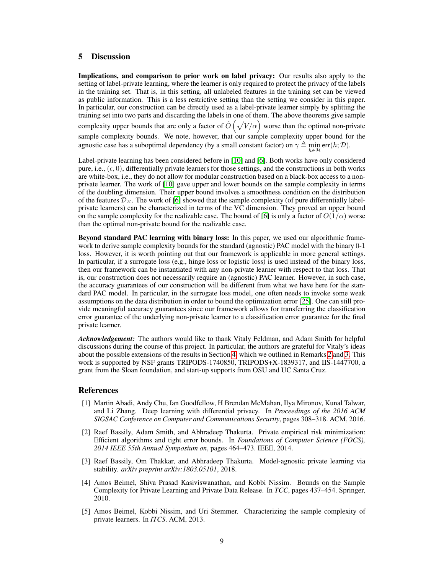# 5 Discussion

Implications, and comparison to prior work on label privacy: Our results also apply to the setting of label-private learning, where the learner is only required to protect the privacy of the labels in the training set. That is, in this setting, all unlabeled features in the training set can be viewed as public information. This is a less restrictive setting than the setting we consider in this paper. In particular, our construction can be directly used as a label-private learner simply by splitting the training set into two parts and discarding the labels in one of them. The above theorems give sample complexity upper bounds that are only a factor of  $\tilde{O}(\sqrt{V/\alpha})$  worse than the optimal non-private sample complexity bounds. We note, however, that our sample complexity upper bound for the agnostic case has a suboptimal dependency (by a small constant factor) on  $\gamma \triangleq \min_{h \in \mathcal{H}} \text{err}(h; \mathcal{D})$ .

Label-private learning has been considered before in [10] and [6]. Both works have only considered pure, i.e.,  $(\epsilon, 0)$ , differentially private learners for those settings, and the constructions in both works are white-box, i.e., they do not allow for modular construction based on a black-box access to a nonprivate learner. The work of [10] gave upper and lower bounds on the sample complexity in terms of the doubling dimension. Their upper bound involves a smoothness condition on the distribution of the features  $\mathcal{D}_{\chi}$ . The work of [6] showed that the sample complexity (of pure differentially labelprivate learners) can be characterized in terms of the VC dimension. They proved an upper bound on the sample complexity for the realizable case. The bound of [6] is only a factor of  $O(1/\alpha)$  worse than the optimal non-private bound for the realizable case.

Beyond standard PAC learning with binary loss: In this paper, we used our algorithmic framework to derive sample complexity bounds for the standard (agnostic) PAC model with the binary 0-1 loss. However, it is worth pointing out that our framework is applicable in more general settings. In particular, if a surrogate loss (e.g., hinge loss or logistic loss) is used instead of the binary loss, then our framework can be instantiated with any non-private learner with respect to that loss. That is, our construction does not necessarily require an (agnostic) PAC learner. However, in such case, the accuracy guarantees of our construction will be different from what we have here for the standard PAC model. In particular, in the surrogate loss model, one often needs to invoke some weak assumptions on the data distribution in order to bound the optimization error [25]. One can still provide meaningful accuracy guarantees since our framework allows for transferring the classification error guarantee of the underlying non-private learner to a classification error guarantee for the final private learner.

*Acknowledgement:* The authors would like to thank Vitaly Feldman, and Adam Smith for helpful discussions during the course of this project. In particular, the authors are grateful for Vitaly's ideas about the possible extensions of the results in Section 4, which we outlined in Remarks 2 and 3. This work is supported by NSF grants TRIPODS-1740850, TRIPODS+X-1839317, and IIS-1447700, a grant from the Sloan foundation, and start-up supports from OSU and UC Santa Cruz.

## References

- [1] Martin Abadi, Andy Chu, Ian Goodfellow, H Brendan McMahan, Ilya Mironov, Kunal Talwar, and Li Zhang. Deep learning with differential privacy. In *Proceedings of the 2016 ACM SIGSAC Conference on Computer and Communications Security*, pages 308–318. ACM, 2016.
- [2] Raef Bassily, Adam Smith, and Abhradeep Thakurta. Private empirical risk minimization: Efficient algorithms and tight error bounds. In *Foundations of Computer Science (FOCS), 2014 IEEE 55th Annual Symposium on*, pages 464–473. IEEE, 2014.
- [3] Raef Bassily, Om Thakkar, and Abhradeep Thakurta. Model-agnostic private learning via stability. *arXiv preprint arXiv:1803.05101*, 2018.
- [4] Amos Beimel, Shiva Prasad Kasiviswanathan, and Kobbi Nissim. Bounds on the Sample Complexity for Private Learning and Private Data Release. In *TCC*, pages 437–454. Springer, 2010.
- [5] Amos Beimel, Kobbi Nissim, and Uri Stemmer. Characterizing the sample complexity of private learners. In *ITCS*. ACM, 2013.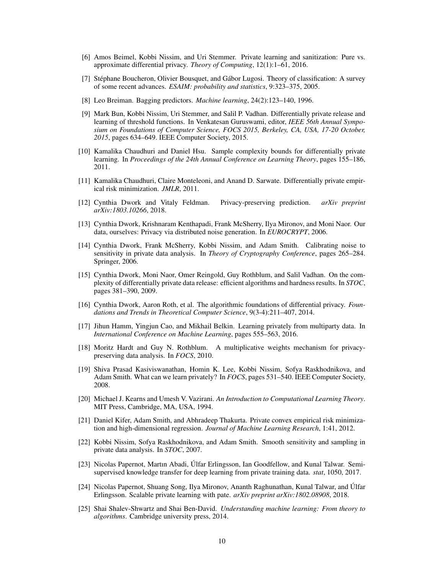- [6] Amos Beimel, Kobbi Nissim, and Uri Stemmer. Private learning and sanitization: Pure vs. approximate differential privacy. *Theory of Computing*, 12(1):1–61, 2016.
- [7] Stéphane Boucheron, Olivier Bousquet, and Gábor Lugosi. Theory of classification: A survey of some recent advances. *ESAIM: probability and statistics*, 9:323–375, 2005.
- [8] Leo Breiman. Bagging predictors. *Machine learning*, 24(2):123–140, 1996.
- [9] Mark Bun, Kobbi Nissim, Uri Stemmer, and Salil P. Vadhan. Differentially private release and learning of threshold functions. In Venkatesan Guruswami, editor, *IEEE 56th Annual Symposium on Foundations of Computer Science, FOCS 2015, Berkeley, CA, USA, 17-20 October, 2015*, pages 634–649. IEEE Computer Society, 2015.
- [10] Kamalika Chaudhuri and Daniel Hsu. Sample complexity bounds for differentially private learning. In *Proceedings of the 24th Annual Conference on Learning Theory*, pages 155–186, 2011.
- [11] Kamalika Chaudhuri, Claire Monteleoni, and Anand D. Sarwate. Differentially private empirical risk minimization. *JMLR*, 2011.
- [12] Cynthia Dwork and Vitaly Feldman. Privacy-preserving prediction. *arXiv preprint arXiv:1803.10266*, 2018.
- [13] Cynthia Dwork, Krishnaram Kenthapadi, Frank McSherry, Ilya Mironov, and Moni Naor. Our data, ourselves: Privacy via distributed noise generation. In *EUROCRYPT*, 2006.
- [14] Cynthia Dwork, Frank McSherry, Kobbi Nissim, and Adam Smith. Calibrating noise to sensitivity in private data analysis. In *Theory of Cryptography Conference*, pages 265–284. Springer, 2006.
- [15] Cynthia Dwork, Moni Naor, Omer Reingold, Guy Rothblum, and Salil Vadhan. On the complexity of differentially private data release: efficient algorithms and hardness results. In *STOC*, pages 381–390, 2009.
- [16] Cynthia Dwork, Aaron Roth, et al. The algorithmic foundations of differential privacy. *Foundations and Trends in Theoretical Computer Science*, 9(3-4):211–407, 2014.
- [17] Jihun Hamm, Yingjun Cao, and Mikhail Belkin. Learning privately from multiparty data. In *International Conference on Machine Learning*, pages 555–563, 2016.
- [18] Moritz Hardt and Guy N. Rothblum. A multiplicative weights mechanism for privacypreserving data analysis. In *FOCS*, 2010.
- [19] Shiva Prasad Kasiviswanathan, Homin K. Lee, Kobbi Nissim, Sofya Raskhodnikova, and Adam Smith. What can we learn privately? In *FOCS*, pages 531–540. IEEE Computer Society, 2008.
- [20] Michael J. Kearns and Umesh V. Vazirani. *An Introduction to Computational Learning Theory*. MIT Press, Cambridge, MA, USA, 1994.
- [21] Daniel Kifer, Adam Smith, and Abhradeep Thakurta. Private convex empirical risk minimization and high-dimensional regression. *Journal of Machine Learning Research*, 1:41, 2012.
- [22] Kobbi Nissim, Sofya Raskhodnikova, and Adam Smith. Smooth sensitivity and sampling in private data analysis. In *STOC*, 2007.
- [23] Nicolas Papernot, Martın Abadi, Ulfar Erlingsson, Ian Goodfellow, and Kunal Talwar. Semi- ´ supervised knowledge transfer for deep learning from private training data. *stat*, 1050, 2017.
- [24] Nicolas Papernot, Shuang Song, Ilya Mironov, Ananth Raghunathan, Kunal Talwar, and Ulfar ´ Erlingsson. Scalable private learning with pate. *arXiv preprint arXiv:1802.08908*, 2018.
- [25] Shai Shalev-Shwartz and Shai Ben-David. *Understanding machine learning: From theory to algorithms*. Cambridge university press, 2014.